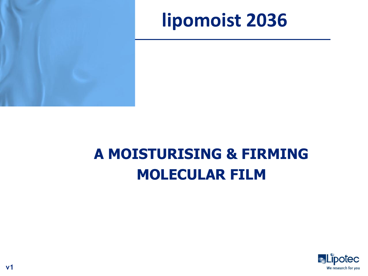

# **A MOISTURISING & FIRMING MOLECULAR FILM**

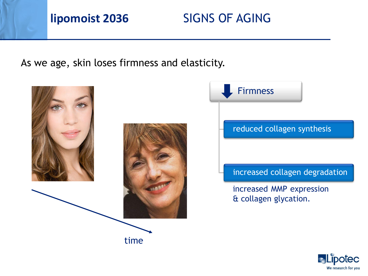## **lipomoist 2036** SIGNS OF AGING

As we age, skin loses firmness and elasticity.





#### reduced collagen synthesis

#### increased collagen degradation

increased MMP expression & collagen glycation.

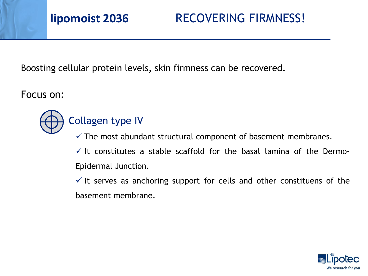**lipomoist 2036** RECOVERING FIRMNESS!

Boosting cellular protein levels, skin firmness can be recovered.

Focus on:



## Collagen type IV

 $\checkmark$  The most abundant structural component of basement membranes.

 $\checkmark$  It constitutes a stable scaffold for the basal lamina of the Dermo-Epidermal Junction.

 $\checkmark$  It serves as anchoring support for cells and other constituens of the basement membrane.

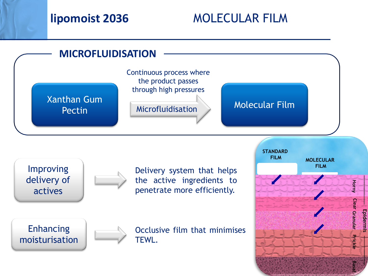## **lipomoist 2036** MOLECULAR FILM

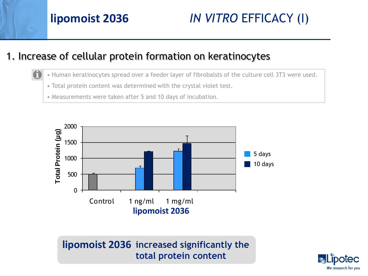# **lipomoist 2036** *IN VITRO* EFFICACY (I)

### 1. Increase of cellular protein formation on keratinocytes

- Human keratinocytes spread over a feeder layer of fibrobalsts of the culture cell 3T3 were used.
	- Total protein content was determined with the crystal violet test.
- Measurements were taken after 5 and 10 days of incubation.



lipomoist 2036 increased significantly the **total protein content**

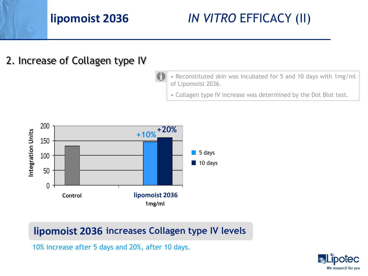*IN VITRO* EFFICACY (II)

#### 2. Increase of Collagen type IV

- Reconstituted skin was incubated for 5 and 10 days with 1mg/ml of Lipomoist 2036.
	- Collagen type IV increase was determined by the Dot Blot test.



#### **lipomoist 2036 increases Collagen type IV levels**

10% increase after 5 days and 20%, after 10 days.

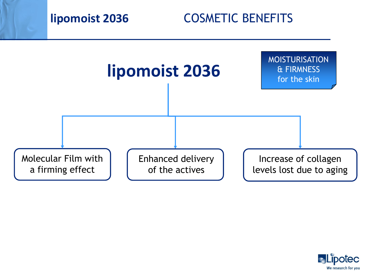

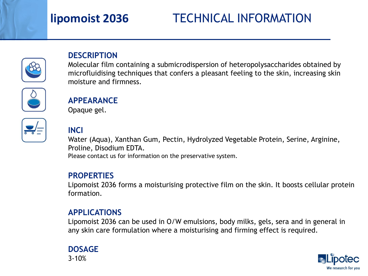# TECHNICAL INFORMATION



#### **DESCRIPTION**

Molecular film containing a submicrodispersion of heteropolysaccharides obtained by microfluidising techniques that confers a pleasant feeling to the skin, increasing skin moisture and firmness.



#### **APPEARANCE**

Opaque gel.

#### **INCI**

Water (Aqua), Xanthan Gum, Pectin, Hydrolyzed Vegetable Protein, Serine, Arginine, Proline, Disodium EDTA.

Please contact us for information on the preservative system.

#### **PROPERTIES**

Lipomoist 2036 forms a moisturising protective film on the skin. It boosts cellular protein formation.

#### **APPLICATIONS**

Lipomoist 2036 can be used in O/W emulsions, body milks, gels, sera and in general in any skin care formulation where a moisturising and firming effect is required.